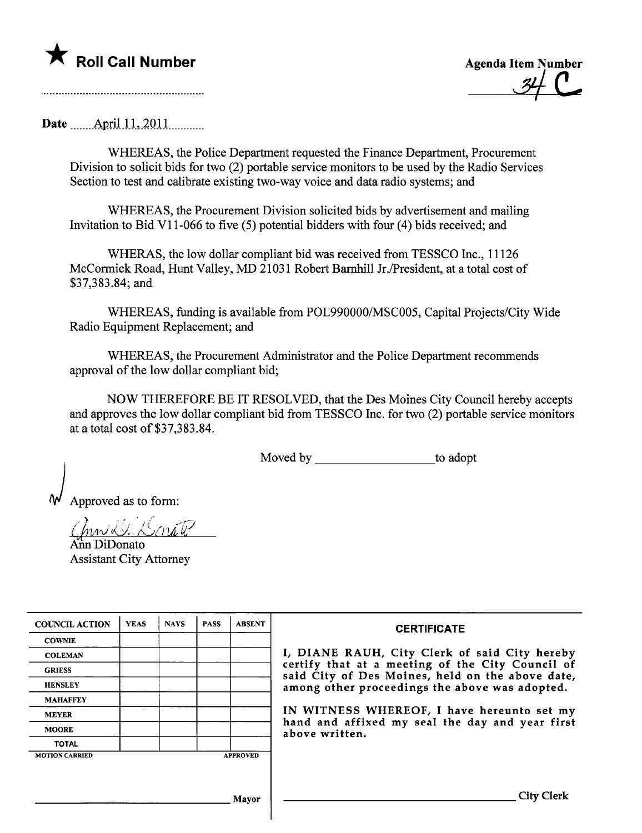

\* Roll Call Number Agenda Item Number ~e-

Date \_\_\_\_\_\_\_ April 11, 2011

WHEREAS, the Police Department requested the Finance Department, Procurement Division to solicit bids for two (2) portable service monitors to be used by the Radio Services Section to test and calibrate existing two-way voice and data radio systems; and

WHEREAS, the Procurement Division solicited bids by advertisement and mailing Invitation to Bid V11-066 to five (5) potential bidders with four (4) bids received; and

WHERAS, the low dollar compliant bid was received from TESSCO Inc., 11126 McCormick Road, Hunt Valley, MD 21031 Robert Barnhill Jr./President, at a total cost of \$37,383.84; and

WHEREAS, funding is available from POL990000/MSC005, Capital Projects/City Wide Radio Equipment Replacement; and

WHEREAS, the Procurement Administrator and the Police Department recommends approval of the low dollar compliant bid;

NOW THEREFORE BE IT RESOLVED, that the Des Moines City Council hereby accepts and approves the low dollar compliant bid from TESSCO Inc. for two (2) portable service monitors at a total cost of \$37,383.84.

Moved by to adopt

Approved as to form:

 $\lim_{h \to 0}$  DiDonato Assistant City Attorney

| <b>COUNCIL ACTION</b> | <b>YEAS</b> | <b>NAYS</b> | <b>PASS</b> | <b>ABSENT</b>   | <b>CERTIFICATE</b>                                                                                   |
|-----------------------|-------------|-------------|-------------|-----------------|------------------------------------------------------------------------------------------------------|
| <b>COWNIE</b>         |             |             |             |                 |                                                                                                      |
| <b>COLEMAN</b>        |             |             |             |                 | I, DIANE RAUH, City Clerk of said City hereby                                                        |
| <b>GRIESS</b>         |             |             |             |                 | certify that at a meeting of the City Council of<br>said City of Des Moines, held on the above date, |
| <b>HENSLEY</b>        |             |             |             |                 | among other proceedings the above was adopted.                                                       |
| <b>MAHAFFEY</b>       |             |             |             |                 |                                                                                                      |
| <b>MEYER</b>          |             |             |             |                 | IN WITNESS WHEREOF, I have hereunto set my                                                           |
| <b>MOORE</b>          |             |             |             |                 | hand and affixed my seal the day and year first<br>above written.                                    |
| <b>TOTAL</b>          |             |             |             |                 |                                                                                                      |
| <b>MOTION CARRIED</b> |             |             |             | <b>APPROVED</b> |                                                                                                      |
|                       |             |             |             |                 |                                                                                                      |
|                       |             |             |             |                 |                                                                                                      |
|                       |             |             |             | Mayor           | City                                                                                                 |